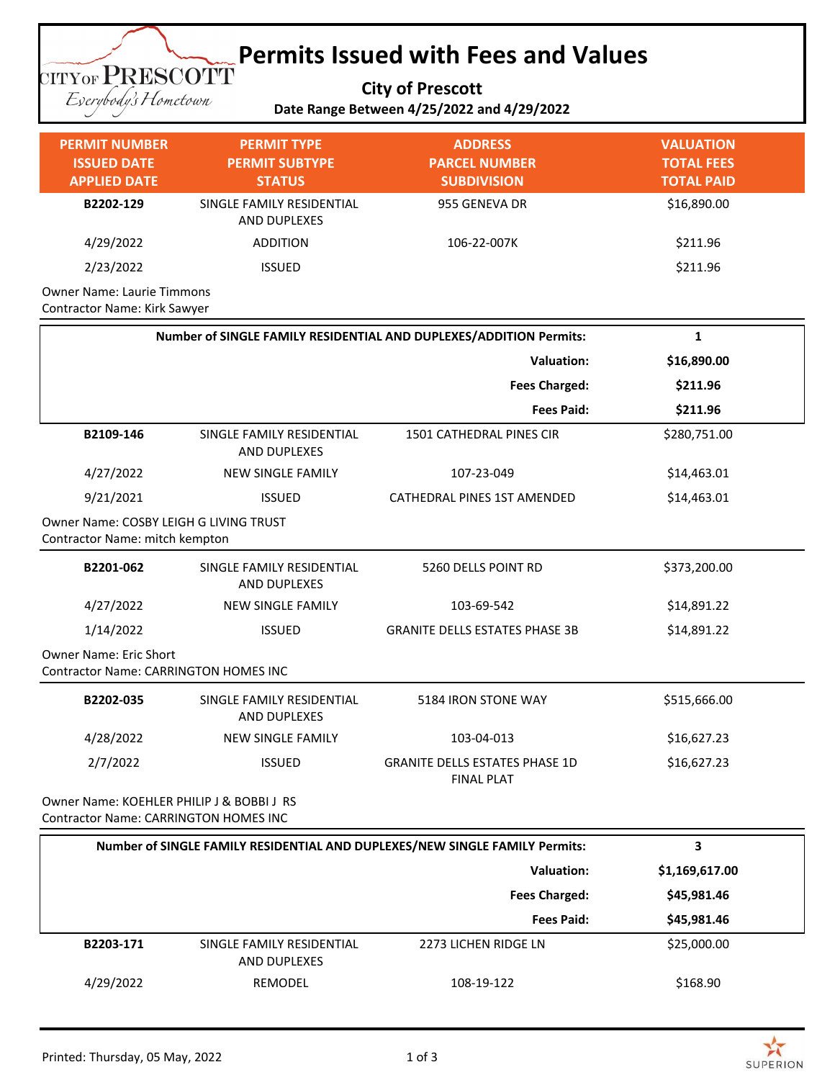## **Permits Issued with Fees and Values TITYOF PRESCOTT**

**City of Prescott**

Eserybody's Hometown

**Date Range Between 4/25/2022 and 4/29/2022**

| <b>PERMIT NUMBER</b><br><b>ISSUED DATE</b><br><b>APPLIED DATE</b> | <b>PERMIT TYPE</b><br><b>PERMIT SUBTYPE</b><br><b>STATUS</b> | <b>ADDRESS</b><br><b>PARCEL NUMBER</b><br><b>SUBDIVISION</b>       | <b>VALUATION</b><br><b>TOTAL FEES</b><br><b>TOTAL PAID</b> |
|-------------------------------------------------------------------|--------------------------------------------------------------|--------------------------------------------------------------------|------------------------------------------------------------|
| B2202-129                                                         | SINGLE FAMILY RESIDENTIAL<br><b>AND DUPLEXES</b>             | 955 GENEVA DR                                                      | \$16,890.00                                                |
| 4/29/2022                                                         | <b>ADDITION</b>                                              | 106-22-007K                                                        | \$211.96                                                   |
| 2/23/2022                                                         | <b>ISSUED</b>                                                |                                                                    | \$211.96                                                   |
| <b>Owner Name: Laurie Timmons</b><br>Contractor Name: Kirk Sawyer |                                                              |                                                                    |                                                            |
|                                                                   |                                                              | Number of SINGLE FAMILY RESIDENTIAL AND DUPLEXES/ADDITION Permits: | 1                                                          |
|                                                                   |                                                              |                                                                    |                                                            |
|                                                                   |                                                              | <b>Valuation:</b>                                                  | \$16,890.00                                                |
|                                                                   |                                                              | <b>Fees Charged:</b>                                               | \$211.96                                                   |
|                                                                   |                                                              | <b>Fees Paid:</b>                                                  | \$211.96                                                   |
| B2109-146                                                         | SINGLE FAMILY RESIDENTIAL<br><b>AND DUPLEXES</b>             | <b>1501 CATHEDRAL PINES CIR</b>                                    | \$280,751.00                                               |
| 4/27/2022                                                         | <b>NEW SINGLE FAMILY</b>                                     | 107-23-049                                                         | \$14,463.01                                                |

Owner Name: COSBY LEIGH G LIVING TRUST Contractor Name: mitch kempton

| B2201-062                                                                     | SINGLE FAMILY RESIDENTIAL<br>AND DUPLEXES | 5260 DELLS POINT RD                                        | \$373,200.00 |
|-------------------------------------------------------------------------------|-------------------------------------------|------------------------------------------------------------|--------------|
| 4/27/2022                                                                     | <b>NEW SINGLE FAMILY</b>                  | 103-69-542                                                 | \$14,891.22  |
| 1/14/2022                                                                     | <b>ISSUED</b>                             | <b>GRANITE DELLS ESTATES PHASE 3B</b>                      | \$14,891.22  |
| <b>Owner Name: Eric Short</b><br><b>Contractor Name: CARRINGTON HOMES INC</b> |                                           |                                                            |              |
| B2202-035                                                                     | SINGLE FAMILY RESIDENTIAL<br>AND DUPLEXES | 5184 IRON STONE WAY                                        | \$515,666.00 |
| 4/28/2022                                                                     | <b>NEW SINGLE FAMILY</b>                  | 103-04-013                                                 | \$16,627.23  |
| 2/7/2022                                                                      | <b>ISSUED</b>                             | <b>GRANITE DELLS ESTATES PHASE 1D</b><br><b>FINAL PLAT</b> | \$16,627.23  |

Owner Name: KOEHLER PHILIP J & BOBBI J RS Contractor Name: CARRINGTON HOMES INC

| Number of SINGLE FAMILY RESIDENTIAL AND DUPLEXES/NEW SINGLE FAMILY Permits:    | З              |
|--------------------------------------------------------------------------------|----------------|
| Valuation:                                                                     | \$1,169,617.00 |
| <b>Fees Charged:</b>                                                           | \$45,981.46    |
| <b>Fees Paid:</b>                                                              | \$45,981.46    |
| B2203-171<br>SINGLE FAMILY RESIDENTIAL<br>2273 LICHEN RIDGE LN<br>AND DUPLEXES | \$25,000.00    |
| 4/29/2022<br>108-19-122<br>REMODEL                                             | \$168.90       |

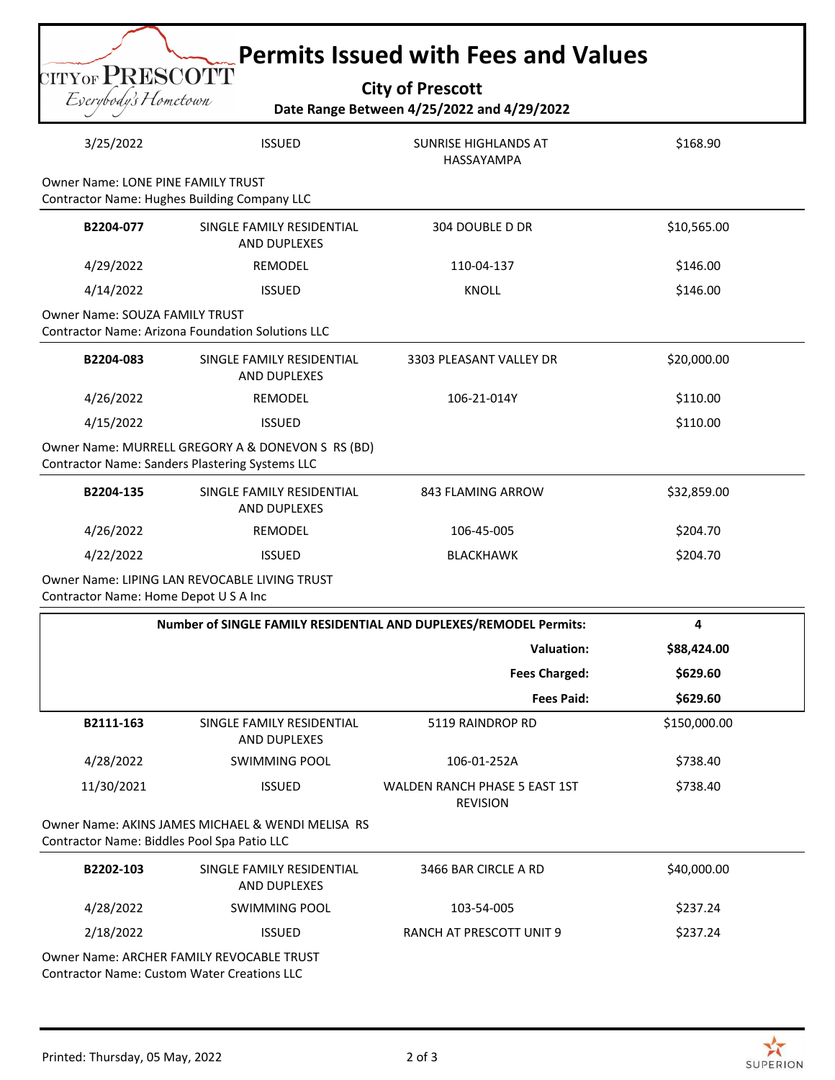| CITYOF PRESCOTT<br><b>City of Prescott</b><br>Eserybody's Hometown<br>Date Range Between 4/25/2022 and 4/29/2022 |                                                                                                      |                                                                   |              |
|------------------------------------------------------------------------------------------------------------------|------------------------------------------------------------------------------------------------------|-------------------------------------------------------------------|--------------|
| 3/25/2022                                                                                                        | <b>ISSUED</b>                                                                                        | <b>SUNRISE HIGHLANDS AT</b><br>HASSAYAMPA                         | \$168.90     |
| <b>Owner Name: LONE PINE FAMILY TRUST</b>                                                                        | <b>Contractor Name: Hughes Building Company LLC</b>                                                  |                                                                   |              |
| B2204-077                                                                                                        | SINGLE FAMILY RESIDENTIAL<br><b>AND DUPLEXES</b>                                                     | 304 DOUBLE D DR                                                   | \$10,565.00  |
| 4/29/2022                                                                                                        | <b>REMODEL</b>                                                                                       | 110-04-137                                                        | \$146.00     |
| 4/14/2022                                                                                                        | <b>ISSUED</b>                                                                                        | <b>KNOLL</b>                                                      | \$146.00     |
| <b>Owner Name: SOUZA FAMILY TRUST</b>                                                                            | <b>Contractor Name: Arizona Foundation Solutions LLC</b>                                             |                                                                   |              |
| B2204-083                                                                                                        | SINGLE FAMILY RESIDENTIAL<br><b>AND DUPLEXES</b>                                                     | 3303 PLEASANT VALLEY DR                                           | \$20,000.00  |
| 4/26/2022                                                                                                        | <b>REMODEL</b>                                                                                       | 106-21-014Y                                                       | \$110.00     |
| 4/15/2022                                                                                                        | <b>ISSUED</b>                                                                                        |                                                                   | \$110.00     |
|                                                                                                                  | Owner Name: MURRELL GREGORY A & DONEVON S RS (BD)<br>Contractor Name: Sanders Plastering Systems LLC |                                                                   |              |
| B2204-135                                                                                                        | SINGLE FAMILY RESIDENTIAL<br>AND DUPLEXES                                                            | 843 FLAMING ARROW                                                 | \$32,859.00  |
| 4/26/2022                                                                                                        | REMODEL                                                                                              | 106-45-005                                                        | \$204.70     |
| 4/22/2022                                                                                                        | <b>ISSUED</b>                                                                                        | <b>BLACKHAWK</b>                                                  | \$204.70     |
| Contractor Name: Home Depot U S A Inc                                                                            | Owner Name: LIPING LAN REVOCABLE LIVING TRUST                                                        |                                                                   |              |
|                                                                                                                  |                                                                                                      | Number of SINGLE FAMILY RESIDENTIAL AND DUPLEXES/REMODEL Permits: | 4            |
|                                                                                                                  |                                                                                                      | <b>Valuation:</b>                                                 | \$88,424.00  |
|                                                                                                                  |                                                                                                      | <b>Fees Charged:</b>                                              | \$629.60     |
|                                                                                                                  |                                                                                                      | <b>Fees Paid:</b>                                                 | \$629.60     |
| B2111-163                                                                                                        | SINGLE FAMILY RESIDENTIAL<br>AND DUPLEXES                                                            | 5119 RAINDROP RD                                                  | \$150,000.00 |
| 4/28/2022                                                                                                        | <b>SWIMMING POOL</b>                                                                                 | 106-01-252A                                                       | \$738.40     |
| 11/30/2021                                                                                                       | <b>ISSUED</b>                                                                                        | <b>WALDEN RANCH PHASE 5 EAST 1ST</b><br><b>REVISION</b>           | \$738.40     |
| Contractor Name: Biddles Pool Spa Patio LLC                                                                      | Owner Name: AKINS JAMES MICHAEL & WENDI MELISA RS                                                    |                                                                   |              |
| B2202-103                                                                                                        | SINGLE FAMILY RESIDENTIAL<br>AND DUPLEXES                                                            | 3466 BAR CIRCLE A RD                                              | \$40,000.00  |
| 4/28/2022                                                                                                        | <b>SWIMMING POOL</b>                                                                                 | 103-54-005                                                        | \$237.24     |
|                                                                                                                  | <b>ISSUED</b>                                                                                        | RANCH AT PRESCOTT UNIT 9                                          | \$237.24     |

Owner Name: ARCHER FAMILY REVOCABLE TRUST Contractor Name: Custom Water Creations LLC